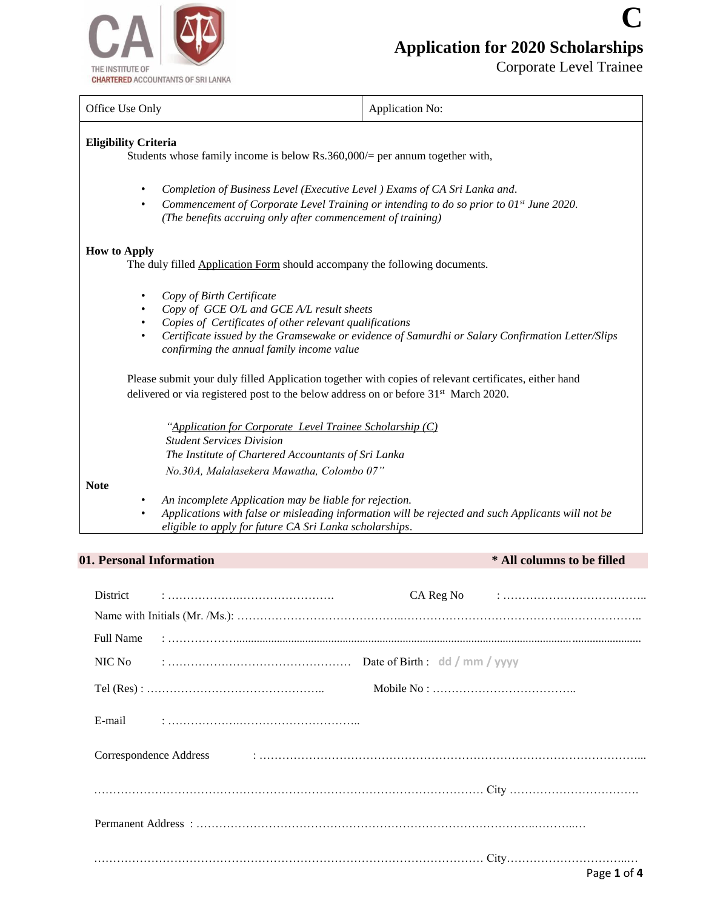

Corporate Level Trainee

**C**

| Office Use Only                                                                                                                                                                                                                                                                                                                        | Application No:                                                                                    |  |  |  |  |  |
|----------------------------------------------------------------------------------------------------------------------------------------------------------------------------------------------------------------------------------------------------------------------------------------------------------------------------------------|----------------------------------------------------------------------------------------------------|--|--|--|--|--|
| <b>Eligibility Criteria</b>                                                                                                                                                                                                                                                                                                            | Students whose family income is below $Rs.360,000/=$ per annum together with,                      |  |  |  |  |  |
| Completion of Business Level (Executive Level) Exams of CA Sri Lanka and.<br>$\bullet$<br>Commencement of Corporate Level Training or intending to do so prior to $01^{st}$ June 2020.<br>$\bullet$<br>(The benefits accruing only after commencement of training)                                                                     |                                                                                                    |  |  |  |  |  |
| <b>How to Apply</b><br>The duly filled <b>Application Form</b> should accompany the following documents.                                                                                                                                                                                                                               |                                                                                                    |  |  |  |  |  |
| Copy of Birth Certificate<br>$\bullet$<br>Copy of GCE O/L and GCE A/L result sheets<br>$\bullet$<br>Copies of Certificates of other relevant qualifications<br>$\bullet$<br>Certificate issued by the Gramsewake or evidence of Samurdhi or Salary Confirmation Letter/Slips<br>$\bullet$<br>confirming the annual family income value |                                                                                                    |  |  |  |  |  |
| Please submit your duly filled Application together with copies of relevant certificates, either hand<br>delivered or via registered post to the below address on or before 31 <sup>st</sup> March 2020.                                                                                                                               |                                                                                                    |  |  |  |  |  |
| "Application for Corporate Level Trainee Scholarship (C)<br><b>Student Services Division</b><br>The Institute of Chartered Accountants of Sri Lanka<br>No.30A, Malalasekera Mawatha, Colombo 07"                                                                                                                                       |                                                                                                    |  |  |  |  |  |
| <b>Note</b><br>An incomplete Application may be liable for rejection.<br>٠<br>٠<br>eligible to apply for future CA Sri Lanka scholarships.                                                                                                                                                                                             | Applications with false or misleading information will be rejected and such Applicants will not be |  |  |  |  |  |

# **01. Personal Information \* All columns to be filled**

| District |                                                                                                                                                                                                                                |                                                                                 | $CA$ Reg No $\vdots$ $\vdots$ $\vdots$ $\vdots$ $\vdots$ $\vdots$ $\vdots$ $\vdots$ $\vdots$ $\vdots$ $\vdots$ $\vdots$ $\vdots$ $\vdots$ $\vdots$ $\vdots$ $\vdots$ $\vdots$ $\vdots$ $\vdots$ $\vdots$ $\vdots$ $\vdots$ $\vdots$ $\vdots$ $\vdots$ $\vdots$ $\vdots$ $\vdots$ $\vdots$ $\vdots$ $\vdots$ $\vdots$ $\vdots$ $\vdots$ |
|----------|--------------------------------------------------------------------------------------------------------------------------------------------------------------------------------------------------------------------------------|---------------------------------------------------------------------------------|----------------------------------------------------------------------------------------------------------------------------------------------------------------------------------------------------------------------------------------------------------------------------------------------------------------------------------------|
|          |                                                                                                                                                                                                                                |                                                                                 |                                                                                                                                                                                                                                                                                                                                        |
|          |                                                                                                                                                                                                                                |                                                                                 |                                                                                                                                                                                                                                                                                                                                        |
|          |                                                                                                                                                                                                                                |                                                                                 |                                                                                                                                                                                                                                                                                                                                        |
|          | $Tel (Res) : \dots \dots \dots \dots \dots \dots \dots \dots \dots \dots \dots \dots \dots$                                                                                                                                    | Mobile No : $\dots \dots \dots \dots \dots \dots \dots \dots \dots \dots \dots$ |                                                                                                                                                                                                                                                                                                                                        |
|          |                                                                                                                                                                                                                                |                                                                                 |                                                                                                                                                                                                                                                                                                                                        |
|          | Correspondence Address in the correspondence Address in the correspondence Address in the correspondence Address in the correspondence Address in the correspondence Address in the correspondence Address in the corresponden |                                                                                 |                                                                                                                                                                                                                                                                                                                                        |
|          |                                                                                                                                                                                                                                |                                                                                 |                                                                                                                                                                                                                                                                                                                                        |
|          |                                                                                                                                                                                                                                |                                                                                 |                                                                                                                                                                                                                                                                                                                                        |
|          |                                                                                                                                                                                                                                |                                                                                 | Page 1 of 4                                                                                                                                                                                                                                                                                                                            |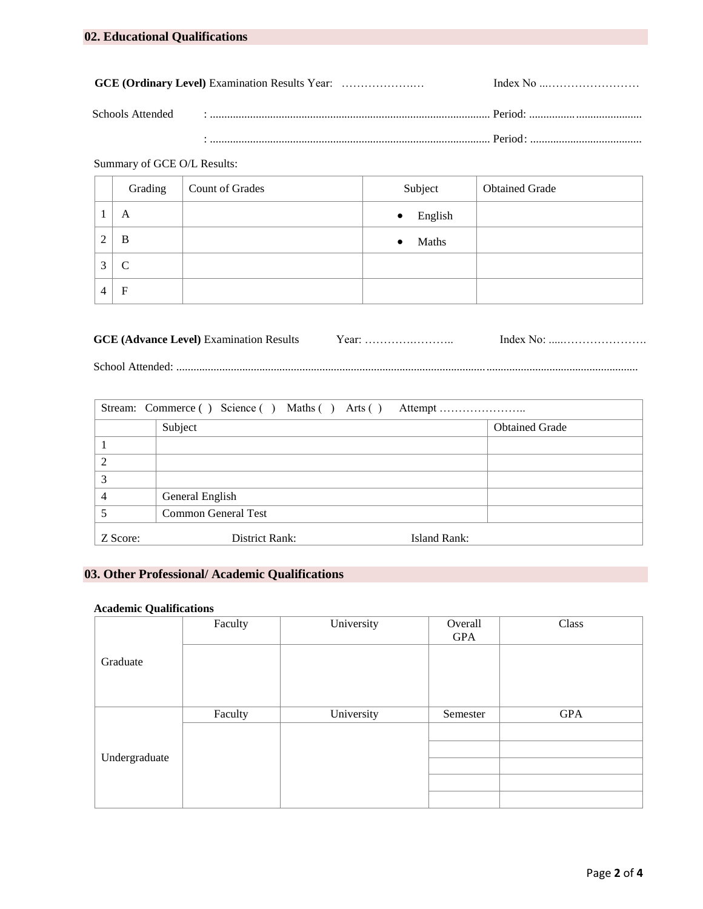### Summary of GCE O/L Results:

|   | Grading       | Count of Grades | Subject              | <b>Obtained Grade</b> |
|---|---------------|-----------------|----------------------|-----------------------|
|   | A             |                 | English<br>$\bullet$ |                       |
| ◠ | B             |                 | Maths<br>$\bullet$   |                       |
| 3 | $\mathcal{C}$ |                 |                      |                       |
| 4 | $\mathbf{F}$  |                 |                      |                       |

| <b>GCE (Advance Level)</b> Examination Results |  |
|------------------------------------------------|--|
|                                                |  |

School Attended: .................................................................................................................................................................

| Stream: Commerce () Science () Maths () Arts () Attempt |                            |              |                       |  |  |
|---------------------------------------------------------|----------------------------|--------------|-----------------------|--|--|
|                                                         | Subject                    |              | <b>Obtained Grade</b> |  |  |
|                                                         |                            |              |                       |  |  |
|                                                         |                            |              |                       |  |  |
| 3                                                       |                            |              |                       |  |  |
|                                                         | General English            |              |                       |  |  |
|                                                         | <b>Common General Test</b> |              |                       |  |  |
| Z Score:                                                | District Rank:             | Island Rank: |                       |  |  |

## **03. Other Professional/ Academic Qualifications**

#### **Academic Qualifications**

|               | Faculty | University | Overall  | Class      |
|---------------|---------|------------|----------|------------|
|               |         |            | GPA      |            |
| Graduate      |         |            |          |            |
|               |         |            |          |            |
|               |         |            |          |            |
|               | Faculty | University | Semester | <b>GPA</b> |
| Undergraduate |         |            |          |            |
|               |         |            |          |            |
|               |         |            |          |            |
|               |         |            |          |            |
|               |         |            |          |            |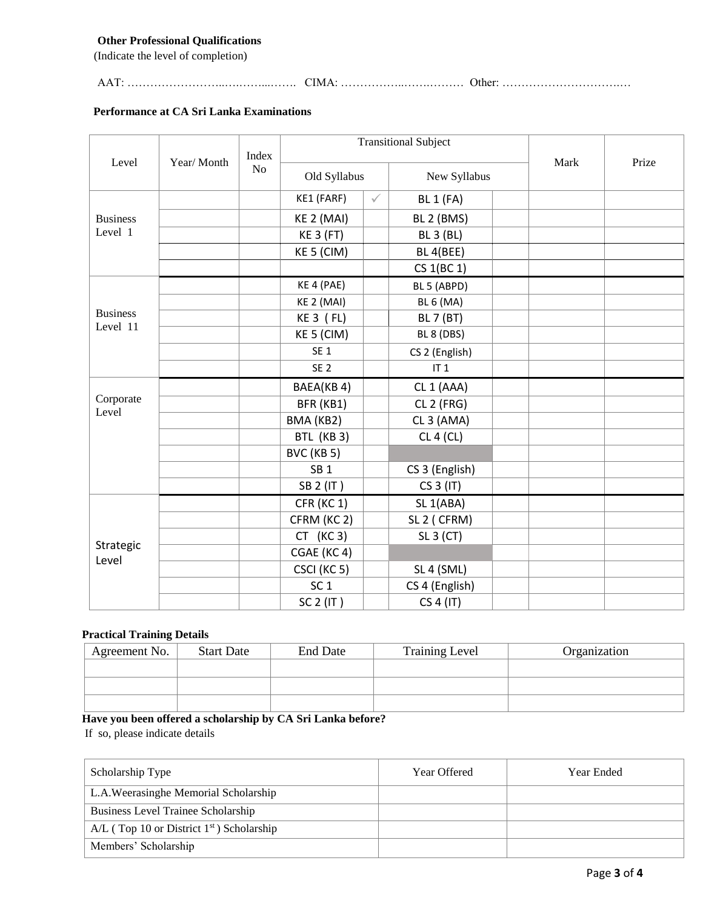#### **Other Professional Qualifications**

(Indicate the level of completion)

AAT: ……………………..….……...……. CIMA: ……………..…….……… Other: ………………………….…

#### **Performance at CA Sri Lanka Examinations**

|                             |  |             | <b>Transitional Subject</b> |                              |                       |      | Prize |
|-----------------------------|--|-------------|-----------------------------|------------------------------|-----------------------|------|-------|
| Level<br>Year/Month         |  | Index<br>No |                             | Old Syllabus<br>New Syllabus |                       | Mark |       |
|                             |  |             | KE1 (FARF)                  | $\checkmark$                 | <b>BL 1 (FA)</b>      |      |       |
| <b>Business</b>             |  |             | KE 2 (MAI)                  |                              | BL 2 (BMS)            |      |       |
| Level 1                     |  |             | <b>KE 3 (FT)</b>            |                              | <b>BL 3 (BL)</b>      |      |       |
|                             |  |             | KE 5 (CIM)                  |                              | BL 4(BEE)             |      |       |
|                             |  |             |                             |                              | CS 1(BC 1)            |      |       |
|                             |  |             | KE 4 (PAE)                  |                              | BL 5 (ABPD)           |      |       |
|                             |  |             | KE 2 (MAI)                  |                              | <b>BL 6 (MA)</b>      |      |       |
| <b>Business</b><br>Level 11 |  |             | $KE3$ ( $FL$ )              |                              | <b>BL 7 (BT)</b>      |      |       |
|                             |  |             | KE 5 (CIM)                  |                              | BL 8 (DBS)            |      |       |
|                             |  |             | SE <sub>1</sub>             |                              | CS 2 (English)        |      |       |
|                             |  |             | SE <sub>2</sub>             |                              | IT <sub>1</sub>       |      |       |
|                             |  |             | BAEA(KB4)                   |                              | CL <sub>1</sub> (AAA) |      |       |
| Corporate<br>Level          |  |             | BFR (KB1)                   |                              | CL 2 (FRG)            |      |       |
|                             |  |             | BMA (KB2)                   |                              | CL <sub>3</sub> (AMA) |      |       |
|                             |  |             | BTL (KB 3)                  |                              | CL 4 (CL)             |      |       |
|                             |  |             | BVC (KB 5)                  |                              |                       |      |       |
|                             |  |             | SB <sub>1</sub>             |                              | CS 3 (English)        |      |       |
|                             |  |             | SB 2 (IT)                   |                              | CS 3 (IT)             |      |       |
|                             |  |             | CFR (KC 1)                  |                              | SL <sub>1</sub> (ABA) |      |       |
|                             |  |             | CFRM (KC 2)                 |                              | SL 2 (CFRM)           |      |       |
|                             |  |             | $CT$ (KC 3)                 |                              | SL 3 (CT)             |      |       |
| Strategic<br>Level          |  |             | CGAE (KC4)                  |                              |                       |      |       |
|                             |  |             | CSCI (KC 5)                 |                              | SL 4 (SML)            |      |       |
|                             |  |             | SC <sub>1</sub>             |                              | CS 4 (English)        |      |       |
|                             |  |             | SC 2 (IT)                   |                              | CS 4 (IT)             |      |       |

#### **Practical Training Details**

| Agreement No. | <b>Start Date</b> | End Date | <b>Training Level</b> | Organization |
|---------------|-------------------|----------|-----------------------|--------------|
|               |                   |          |                       |              |
|               |                   |          |                       |              |
|               |                   |          |                       |              |

# **Have you been offered a scholarship by CA Sri Lanka before?**

If so, please indicate details

| Scholarship Type                                        | Year Offered | Year Ended |
|---------------------------------------------------------|--------------|------------|
| L.A.Weerasinghe Memorial Scholarship                    |              |            |
| Business Level Trainee Scholarship                      |              |            |
| $A/L$ (Top 10 or District 1 <sup>st</sup> ) Scholarship |              |            |
| Members' Scholarship                                    |              |            |